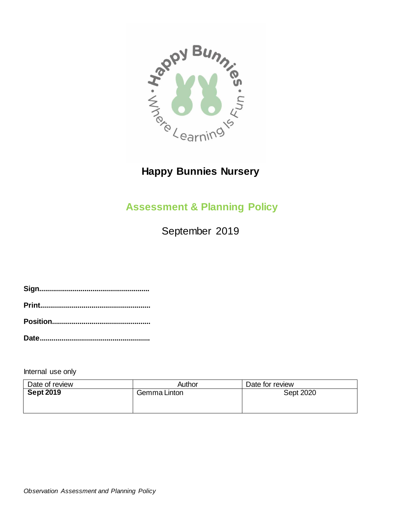

# **Happy Bunnies Nursery**

# **Assessment & Planning Policy**

September 2019

**Sign........................................................ Print........................................................ Position..................................................**

**Date........................................................**

Internal use only

| Date of review   | Author       | Date for review |
|------------------|--------------|-----------------|
| <b>Sept 2019</b> | Gemma Linton | Sept 2020       |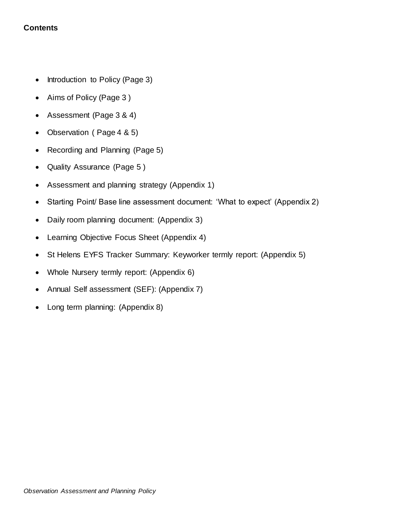# **Contents**

- Introduction to Policy (Page 3)
- Aims of Policy (Page 3)
- Assessment (Page 3 & 4)
- Observation (Page 4 & 5)
- Recording and Planning (Page 5)
- Quality Assurance (Page 5 )
- Assessment and planning strategy (Appendix 1)
- Starting Point/ Base line assessment document: 'What to expect' (Appendix 2)
- Daily room planning document: (Appendix 3)
- Learning Objective Focus Sheet (Appendix 4)
- St Helens EYFS Tracker Summary: Keyworker termly report: (Appendix 5)
- Whole Nursery termly report: (Appendix 6)
- Annual Self assessment (SEF): (Appendix 7)
- Long term planning: (Appendix 8)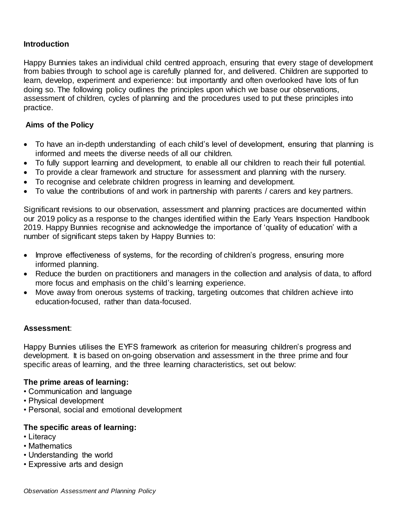## **Introduction**

Happy Bunnies takes an individual child centred approach, ensuring that every stage of development from babies through to school age is carefully planned for, and delivered. Children are supported to learn, develop, experiment and experience: but importantly and often overlooked have lots of fun doing so. The following policy outlines the principles upon which we base our observations, assessment of children, cycles of planning and the procedures used to put these principles into practice.

## **Aims of the Policy**

- To have an in-depth understanding of each child's level of development, ensuring that planning is informed and meets the diverse needs of all our children.
- To fully support learning and development, to enable all our children to reach their full potential.
- To provide a clear framework and structure for assessment and planning with the nursery.
- To recognise and celebrate children progress in learning and development.
- To value the contributions of and work in partnership with parents / carers and key partners.

Significant revisions to our observation, assessment and planning practices are documented within our 2019 policy as a response to the changes identified within the Early Years Inspection Handbook 2019. Happy Bunnies recognise and acknowledge the importance of 'quality of education' with a number of significant steps taken by Happy Bunnies to:

- Improve effectiveness of systems, for the recording of children's progress, ensuring more informed planning.
- Reduce the burden on practitioners and managers in the collection and analysis of data, to afford more focus and emphasis on the child's learning experience.
- Move away from onerous systems of tracking, targeting outcomes that children achieve into education-focused, rather than data-focused.

#### **Assessment**:

Happy Bunnies utilises the EYFS framework as criterion for measuring children's progress and development. It is based on on-going observation and assessment in the three prime and four specific areas of learning, and the three learning characteristics, set out below:

#### **The prime areas of learning:**

- Communication and language
- Physical development
- Personal, social and emotional development

#### **The specific areas of learning:**

- Literacy
- Mathematics
- Understanding the world
- Expressive arts and design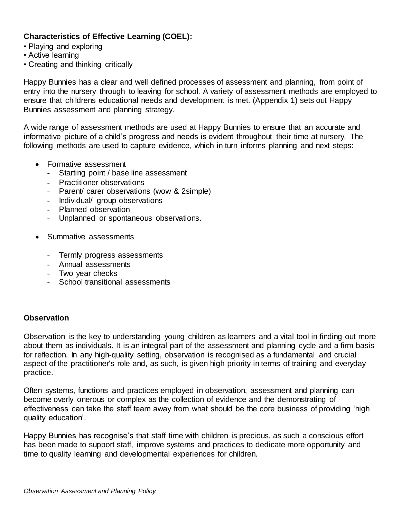# **Characteristics of Effective Learning (COEL):**

- Playing and exploring
- Active learning
- Creating and thinking critically

Happy Bunnies has a clear and well defined processes of assessment and planning, from point of entry into the nursery through to leaving for school. A variety of assessment methods are employed to ensure that childrens educational needs and development is met. (Appendix 1) sets out Happy Bunnies assessment and planning strategy.

A wide range of assessment methods are used at Happy Bunnies to ensure that an accurate and informative picture of a child's progress and needs is evident throughout their time at nursery. The following methods are used to capture evidence, which in turn informs planning and next steps:

- Formative assessment
	- Starting point / base line assessment
	- Practitioner observations
	- Parent/ carer observations (wow & 2simple)
	- Individual/ group observations
	- Planned observation
	- Unplanned or spontaneous observations.
- Summative assessments
	- Termly progress assessments
	- Annual assessments
	- Two year checks
	- School transitional assessments

#### **Observation**

Observation is the key to understanding young children as learners and a vital tool in finding out more about them as individuals. It is an integral part of the assessment and planning cycle and a firm basis for reflection. In any high-quality setting, observation is recognised as a fundamental and crucial aspect of the practitioner's role and, as such, is given high priority in terms of training and everyday practice.

Often systems, functions and practices employed in observation, assessment and planning can become overly onerous or complex as the collection of evidence and the demonstrating of effectiveness can take the staff team away from what should be the core business of providing 'high quality education'.

Happy Bunnies has recognise's that staff time with children is precious, as such a conscious effort has been made to support staff, improve systems and practices to dedicate more opportunity and time to quality learning and developmental experiences for children.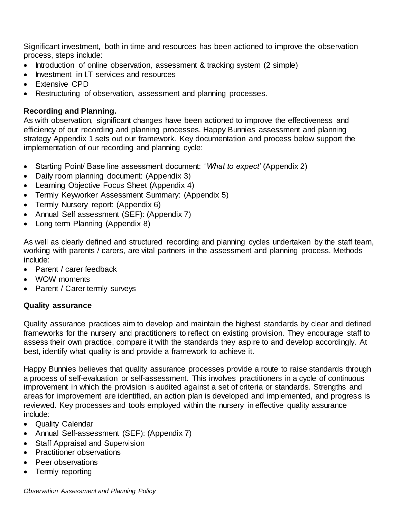Significant investment, both in time and resources has been actioned to improve the observation process, steps include:

- Introduction of online observation, assessment & tracking system (2 simple)
- Investment in I.T services and resources
- Extensive CPD
- Restructuring of observation, assessment and planning processes.

## **Recording and Planning.**

As with observation, significant changes have been actioned to improve the effectiveness and efficiency of our recording and planning processes. Happy Bunnies assessment and planning strategy Appendix 1 sets out our framework. Key documentation and process below support the implementation of our recording and planning cycle:

- Starting Point/ Base line assessment document: '*What to expect'* (Appendix 2)
- Daily room planning document: (Appendix 3)
- Learning Objective Focus Sheet (Appendix 4)
- Termly Keyworker Assessment Summary: (Appendix 5)
- Termly Nursery report: (Appendix 6)
- Annual Self assessment (SEF): (Appendix 7)
- Long term Planning (Appendix 8)

As well as clearly defined and structured recording and planning cycles undertaken by the staff team, working with parents / carers, are vital partners in the assessment and planning process. Methods include:

- Parent / carer feedback
- WOW moments
- Parent / Carer termly surveys

#### **Quality assurance**

Quality assurance practices aim to develop and maintain the highest standards by clear and defined frameworks for the nursery and practitioners to reflect on existing provision. They encourage staff to assess their own practice, compare it with the standards they aspire to and develop accordingly. At best, identify what quality is and provide a framework to achieve it.

Happy Bunnies believes that quality assurance processes provide a route to raise standards through a process of self-evaluation or self-assessment. This involves practitioners in a cycle of continuous improvement in which the provision is audited against a set of criteria or standards. Strengths and areas for improvement are identified, an action plan is developed and implemented, and progress is reviewed. Key processes and tools employed within the nursery in effective quality assurance include:

- Quality Calendar
- Annual Self-assessment (SEF): (Appendix 7)
- Staff Appraisal and Supervision
- Practitioner observations
- Peer observations
- Termly reporting